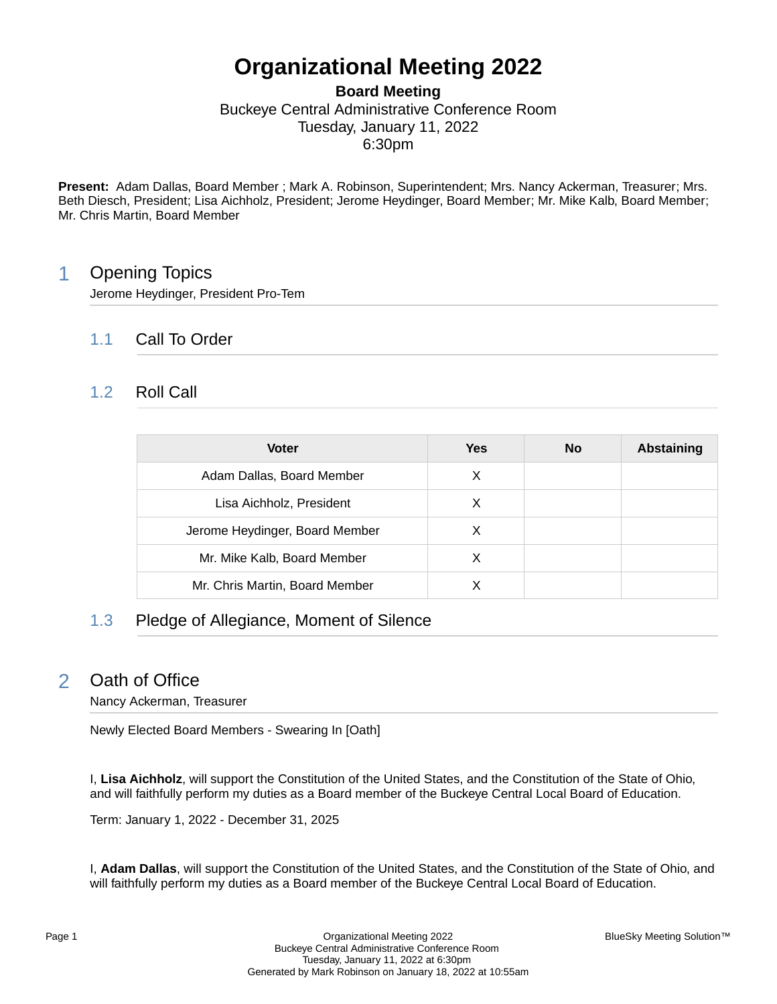# **Organizational Meeting 2022**

## **Board Meeting** Buckeye Central Administrative Conference Room Tuesday, January 11, 2022 6:30pm

**Present:** Adam Dallas, Board Member ; Mark A. Robinson, Superintendent; Mrs. Nancy Ackerman, Treasurer; Mrs. Beth Diesch, President; Lisa Aichholz, President; Jerome Heydinger, Board Member; Mr. Mike Kalb, Board Member; Mr. Chris Martin, Board Member

## 1 Opening Topics

Jerome Heydinger, President Pro-Tem

## 1.1 Call To Order

## 1.2 Roll Call

| <b>Voter</b>                   | Yes | <b>No</b> | Abstaining |
|--------------------------------|-----|-----------|------------|
| Adam Dallas, Board Member      | X   |           |            |
| Lisa Aichholz, President       | х   |           |            |
| Jerome Heydinger, Board Member | X   |           |            |
| Mr. Mike Kalb, Board Member    | X   |           |            |
| Mr. Chris Martin, Board Member |     |           |            |

## 1.3 Pledge of Allegiance, Moment of Silence

## 2 Oath of Office

Nancy Ackerman, Treasurer

Newly Elected Board Members - Swearing In [Oath]

I, **Lisa Aichholz**, will support the Constitution of the United States, and the Constitution of the State of Ohio, and will faithfully perform my duties as a Board member of the Buckeye Central Local Board of Education.

Term: January 1, 2022 - December 31, 2025

I, **Adam Dallas**, will support the Constitution of the United States, and the Constitution of the State of Ohio, and will faithfully perform my duties as a Board member of the Buckeye Central Local Board of Education.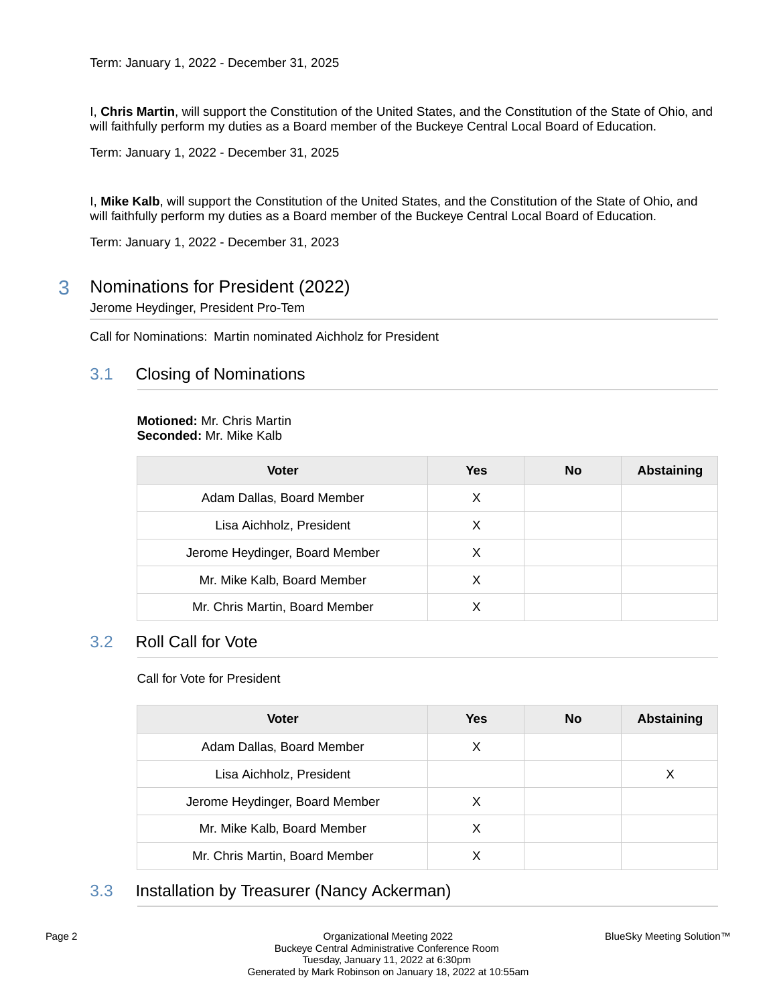I, **Chris Martin**, will support the Constitution of the United States, and the Constitution of the State of Ohio, and will faithfully perform my duties as a Board member of the Buckeye Central Local Board of Education.

Term: January 1, 2022 - December 31, 2025

I, **Mike Kalb**, will support the Constitution of the United States, and the Constitution of the State of Ohio, and will faithfully perform my duties as a Board member of the Buckeye Central Local Board of Education.

Term: January 1, 2022 - December 31, 2023

3 Nominations for President (2022)

Jerome Heydinger, President Pro-Tem

Call for Nominations: Martin nominated Aichholz for President

### 3.1 Closing of Nominations

#### **Motioned:** Mr. Chris Martin **Seconded:** Mr. Mike Kalb

| <b>Voter</b>                   | Yes | No | <b>Abstaining</b> |
|--------------------------------|-----|----|-------------------|
| Adam Dallas, Board Member      | X   |    |                   |
| Lisa Aichholz, President       | X   |    |                   |
| Jerome Heydinger, Board Member | X   |    |                   |
| Mr. Mike Kalb, Board Member    | X   |    |                   |
| Mr. Chris Martin, Board Member |     |    |                   |

### 3.2 Roll Call for Vote

#### Call for Vote for President

| <b>Voter</b>                   | <b>Yes</b> | No | <b>Abstaining</b> |
|--------------------------------|------------|----|-------------------|
| Adam Dallas, Board Member      | X          |    |                   |
| Lisa Aichholz, President       |            |    | Х                 |
| Jerome Heydinger, Board Member | X          |    |                   |
| Mr. Mike Kalb, Board Member    | X          |    |                   |
| Mr. Chris Martin, Board Member |            |    |                   |

## 3.3 Installation by Treasurer (Nancy Ackerman)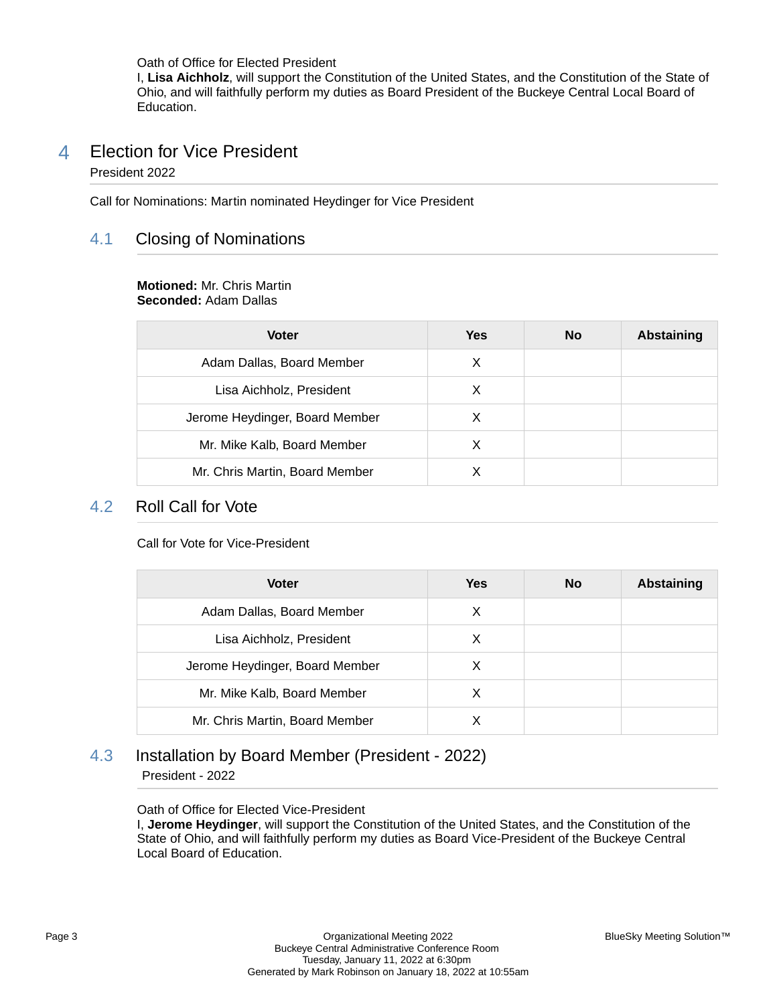Oath of Office for Elected President I, **Lisa Aichholz**, will support the Constitution of the United States, and the Constitution of the State of Ohio, and will faithfully perform my duties as Board President of the Buckeye Central Local Board of Education.

### 4 Election for Vice President President 2022

Call for Nominations: Martin nominated Heydinger for Vice President

## 4.1 Closing of Nominations

#### **Motioned:** Mr. Chris Martin **Seconded:** Adam Dallas

| <b>Voter</b>                   | Yes | <b>No</b> | Abstaining |
|--------------------------------|-----|-----------|------------|
| Adam Dallas, Board Member      | X   |           |            |
| Lisa Aichholz, President       | X   |           |            |
| Jerome Heydinger, Board Member | х   |           |            |
| Mr. Mike Kalb, Board Member    | X   |           |            |
| Mr. Chris Martin, Board Member |     |           |            |

### 4.2 Roll Call for Vote

Call for Vote for Vice-President

| <b>Voter</b>                   | <b>Yes</b> | <b>No</b> | Abstaining |
|--------------------------------|------------|-----------|------------|
| Adam Dallas, Board Member      | X          |           |            |
| Lisa Aichholz, President       | X          |           |            |
| Jerome Heydinger, Board Member | X          |           |            |
| Mr. Mike Kalb, Board Member    | X          |           |            |
| Mr. Chris Martin, Board Member |            |           |            |

### 4.3 Installation by Board Member (President - 2022) President - 2022

Oath of Office for Elected Vice-President

I, **Jerome Heydinger**, will support the Constitution of the United States, and the Constitution of the State of Ohio, and will faithfully perform my duties as Board Vice-President of the Buckeye Central Local Board of Education.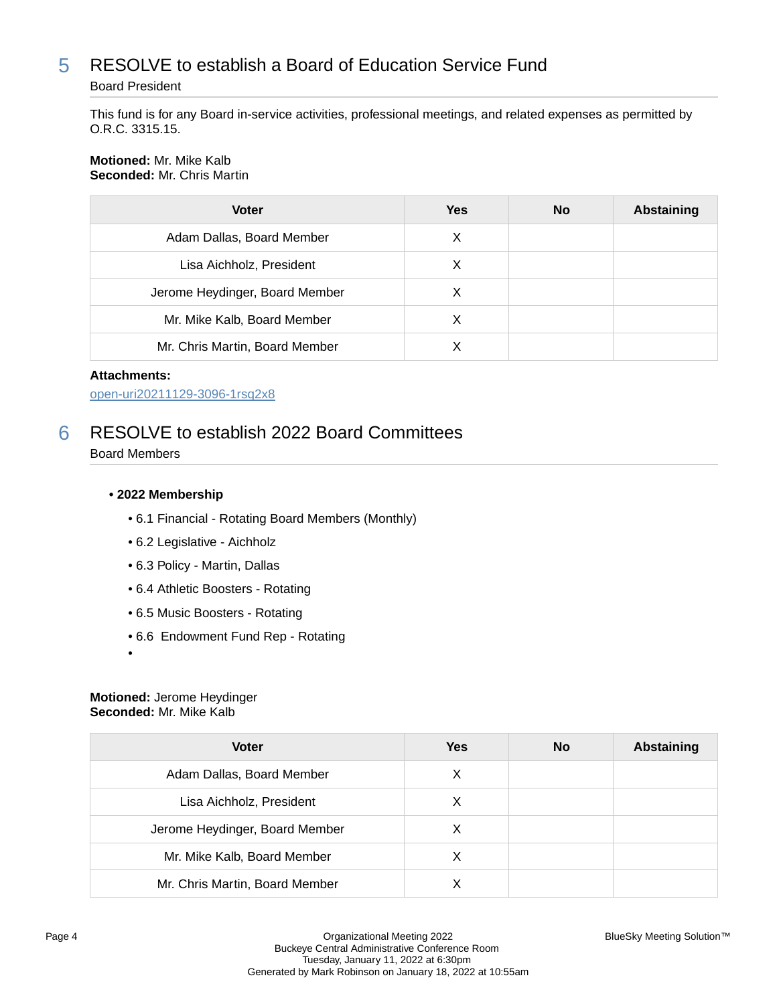## 5 RESOLVE to establish a Board of Education Service Fund

#### Board President

This fund is for any Board in-service activities, professional meetings, and related expenses as permitted by O.R.C. 3315.15.

#### **Motioned:** Mr. Mike Kalb **Seconded:** Mr. Chris Martin

| <b>Voter</b>                   | <b>Yes</b> | <b>No</b> | <b>Abstaining</b> |
|--------------------------------|------------|-----------|-------------------|
| Adam Dallas, Board Member      | X          |           |                   |
| Lisa Aichholz, President       | Х          |           |                   |
| Jerome Heydinger, Board Member | X          |           |                   |
| Mr. Mike Kalb, Board Member    | X          |           |                   |
| Mr. Chris Martin, Board Member |            |           |                   |

#### **Attachments:**

[open-uri20211129-3096-1rsq2x8](https://bcbucks.blueskymeeting.com/meeting_groups/32/item_attachments/62890)

## 6 RESOLVE to establish 2022 Board Committees

Board Members

#### **• 2022 Membership**

- 6.1 Financial Rotating Board Members (Monthly)
- 6.2 Legislative Aichholz
- 6.3 Policy Martin, Dallas
- 6.4 Athletic Boosters Rotating
- 6.5 Music Boosters Rotating
- 6.6 Endowment Fund Rep Rotating
- •

#### **Motioned:** Jerome Heydinger **Seconded:** Mr. Mike Kalb

| <b>Voter</b>                   | Yes | <b>No</b> | Abstaining |
|--------------------------------|-----|-----------|------------|
| Adam Dallas, Board Member      | X   |           |            |
| Lisa Aichholz, President       | X   |           |            |
| Jerome Heydinger, Board Member | х   |           |            |
| Mr. Mike Kalb, Board Member    | X   |           |            |
| Mr. Chris Martin, Board Member |     |           |            |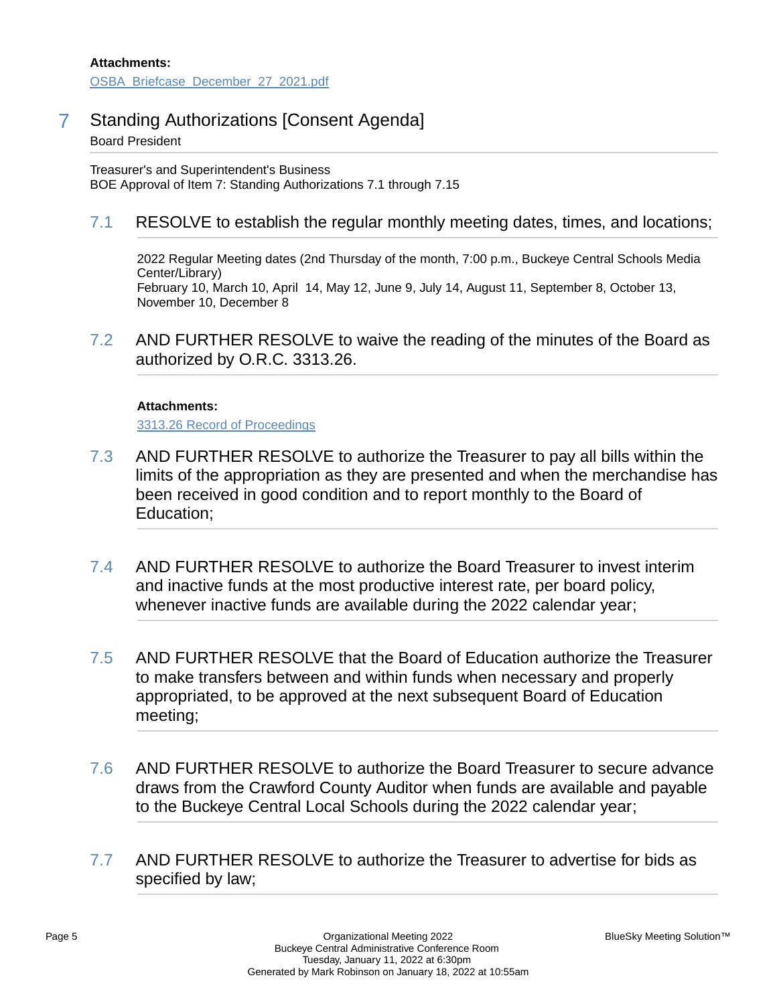7 Standing Authorizations [Consent Agenda] Board President

Treasurer's and Superintendent's Business BOE Approval of Item 7: Standing Authorizations 7.1 through 7.15

## 7.1 RESOLVE to establish the regular monthly meeting dates, times, and locations;

2022 Regular Meeting dates (2nd Thursday of the month, 7:00 p.m., Buckeye Central Schools Media Center/Library) February 10, March 10, April 14, May 12, June 9, July 14, August 11, September 8, October 13, November 10, December 8

7.2 AND FURTHER RESOLVE to waive the reading of the minutes of the Board as authorized by O.R.C. 3313.26.

#### **Attachments:**

[3313.26 Record of Proceedings](https://bcbucks.blueskymeeting.com/meeting_groups/32/item_attachments/62891)

- 7.3 AND FURTHER RESOLVE to authorize the Treasurer to pay all bills within the limits of the appropriation as they are presented and when the merchandise has been received in good condition and to report monthly to the Board of Education;
- 7.4 AND FURTHER RESOLVE to authorize the Board Treasurer to invest interim and inactive funds at the most productive interest rate, per board policy, whenever inactive funds are available during the 2022 calendar year;
- 7.5 AND FURTHER RESOLVE that the Board of Education authorize the Treasurer to make transfers between and within funds when necessary and properly appropriated, to be approved at the next subsequent Board of Education meeting;
- 7.6 AND FURTHER RESOLVE to authorize the Board Treasurer to secure advance draws from the Crawford County Auditor when funds are available and payable to the Buckeye Central Local Schools during the 2022 calendar year;
- 7.7 AND FURTHER RESOLVE to authorize the Treasurer to advertise for bids as specified by law;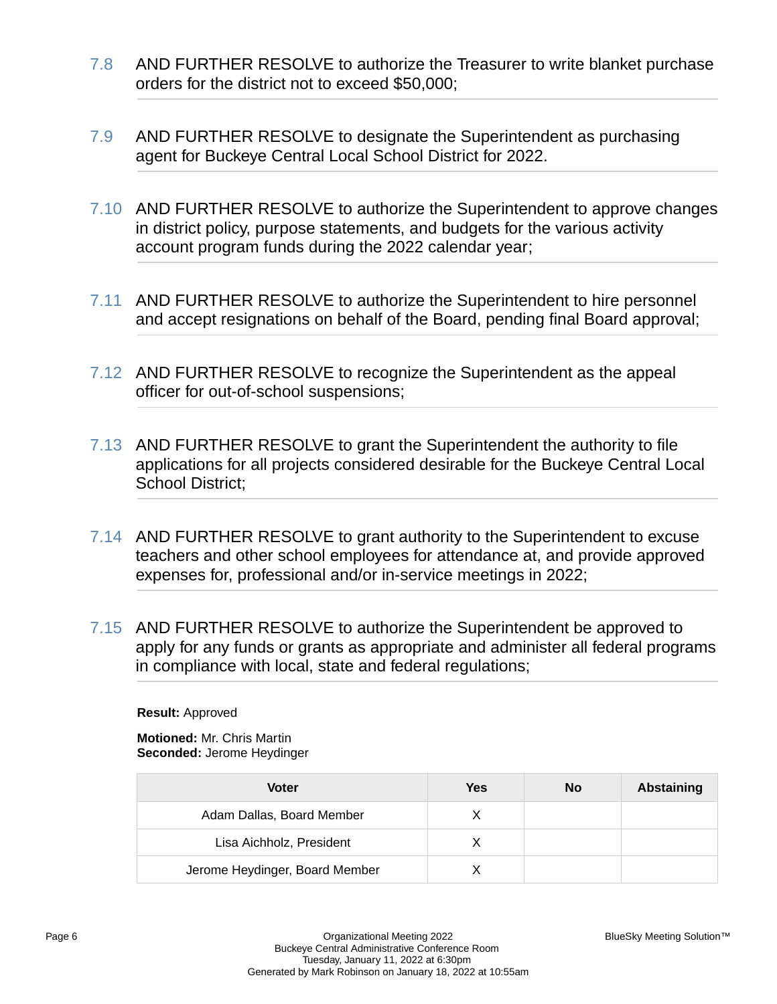- 7.8 AND FURTHER RESOLVE to authorize the Treasurer to write blanket purchase orders for the district not to exceed \$50,000;
- 7.9 AND FURTHER RESOLVE to designate the Superintendent as purchasing agent for Buckeye Central Local School District for 2022.
- 7.10 AND FURTHER RESOLVE to authorize the Superintendent to approve changes in district policy, purpose statements, and budgets for the various activity account program funds during the 2022 calendar year;
- 7.11 AND FURTHER RESOLVE to authorize the Superintendent to hire personnel and accept resignations on behalf of the Board, pending final Board approval;
- 7.12 AND FURTHER RESOLVE to recognize the Superintendent as the appeal officer for out-of-school suspensions;
- 7.13 AND FURTHER RESOLVE to grant the Superintendent the authority to file applications for all projects considered desirable for the Buckeye Central Local School District;
- 7.14 AND FURTHER RESOLVE to grant authority to the Superintendent to excuse teachers and other school employees for attendance at, and provide approved expenses for, professional and/or in-service meetings in 2022;
- 7.15 AND FURTHER RESOLVE to authorize the Superintendent be approved to apply for any funds or grants as appropriate and administer all federal programs in compliance with local, state and federal regulations;

**Motioned:** Mr. Chris Martin **Seconded:** Jerome Heydinger

| Voter                          | Yes | No | Abstaining |
|--------------------------------|-----|----|------------|
| Adam Dallas, Board Member      | x   |    |            |
| Lisa Aichholz, President       |     |    |            |
| Jerome Heydinger, Board Member |     |    |            |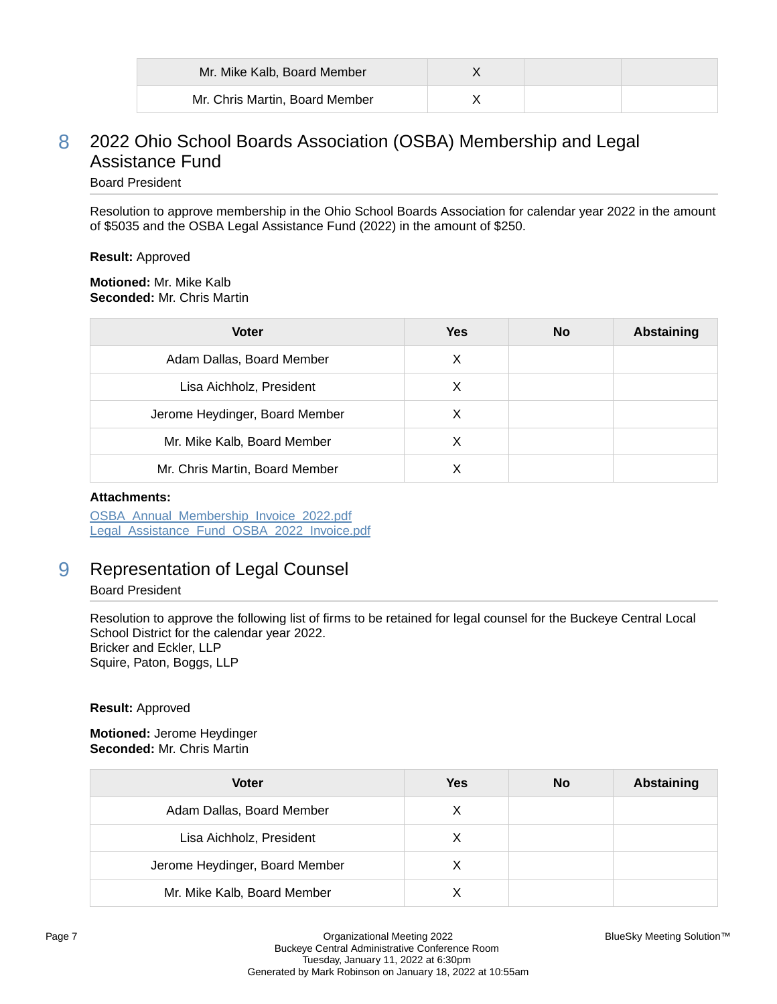| Mr. Mike Kalb, Board Member    |  |  |
|--------------------------------|--|--|
| Mr. Chris Martin, Board Member |  |  |

## 8 2022 Ohio School Boards Association (OSBA) Membership and Legal Assistance Fund

## Board President

Resolution to approve membership in the Ohio School Boards Association for calendar year 2022 in the amount of \$5035 and the OSBA Legal Assistance Fund (2022) in the amount of \$250.

#### **Result:** Approved

**Motioned:** Mr. Mike Kalb **Seconded:** Mr. Chris Martin

| <b>Voter</b>                   | <b>Yes</b> | <b>No</b> | <b>Abstaining</b> |
|--------------------------------|------------|-----------|-------------------|
| Adam Dallas, Board Member      | X          |           |                   |
| Lisa Aichholz, President       | Х          |           |                   |
| Jerome Heydinger, Board Member | X          |           |                   |
| Mr. Mike Kalb, Board Member    | X          |           |                   |
| Mr. Chris Martin, Board Member |            |           |                   |

#### **Attachments:**

[OSBA\\_Annual\\_Membership\\_Invoice\\_2022.pdf](https://bcbucks.blueskymeeting.com/meeting_groups/32/item_attachments/63311) Legal Assistance Fund OSBA 2022 Invoice.pdf

## 9 Representation of Legal Counsel

#### Board President

Resolution to approve the following list of firms to be retained for legal counsel for the Buckeye Central Local School District for the calendar year 2022. Bricker and Eckler, LLP Squire, Paton, Boggs, LLP

#### **Result:** Approved

**Motioned:** Jerome Heydinger **Seconded:** Mr. Chris Martin

| <b>Voter</b>                   | <b>Yes</b> | <b>No</b> | <b>Abstaining</b> |
|--------------------------------|------------|-----------|-------------------|
| Adam Dallas, Board Member      | X          |           |                   |
| Lisa Aichholz, President       | X          |           |                   |
| Jerome Heydinger, Board Member | X          |           |                   |
| Mr. Mike Kalb, Board Member    |            |           |                   |